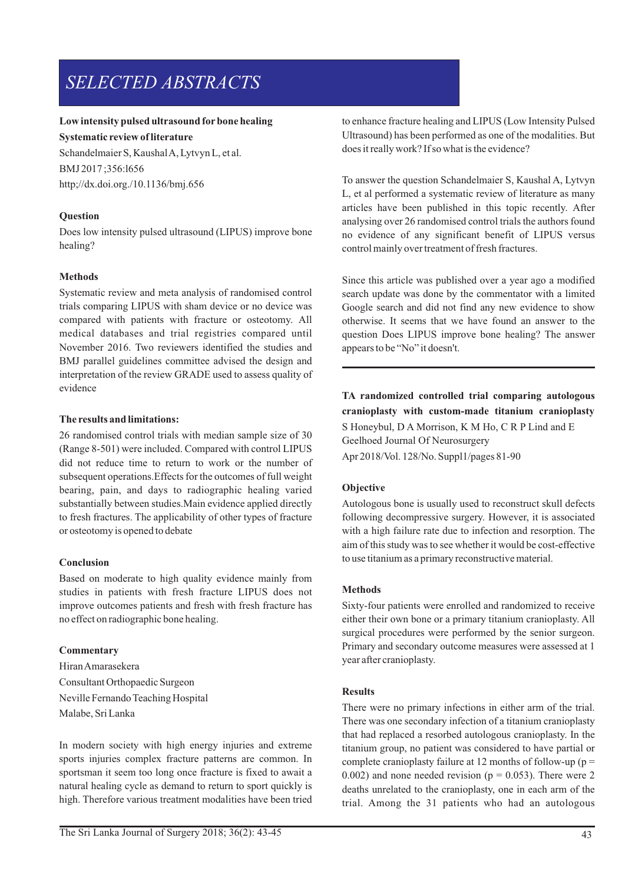# *SELECTED ABSTRACTS*

# **Low intensity pulsed ultrasound forbone healing**

**Systematic review of literature** 

Schandelmaier S, Kaushal A, Lytvyn L, et al. BMJ 2017 ;356:l656 http;//dx.doi.org./10.1136/bmj.656

# **Question**

Does low intensity pulsed ultrasound (LIPUS) improve bone healing?

# **Methods**

Systematic review and meta analysis of randomised control trials comparing LIPUS with sham device or no device was compared with patients with fracture or osteotomy. All medical databases and trial registries compared until November 2016. Two reviewers identified the studies and BMJ parallel guidelines committee advised the design and interpretation of the review GRADE used to assess quality of evidence

# **The results and limitations:**

26 randomised control trials with median sample size of 30 (Range 8-501) were included. Compared with control LIPUS did not reduce time to return to work or the number of subsequent operations.Effects for the outcomes of full weight bearing, pain, and days to radiographic healing varied substantially between studies.Main evidence applied directly to fresh fractures. The applicability of other types of fracture or osteotomy is opened to debate

## **Conclusion**

Based on moderate to high quality evidence mainly from studies in patients with fresh fracture LIPUS does not improve outcomes patients and fresh with fresh fracture has no effect on radiographic bone healing.

## **Commentary**

Hiran Amarasekera Consultant Orthopaedic Surgeon Neville Fernando Teaching Hospital Malabe, Sri Lanka

In modern society with high energy injuries and extreme sports injuries complex fracture patterns are common. In sportsman it seem too long once fracture is fixed to await a natural healing cycle as demand to return to sport quickly is high. Therefore various treatment modalities have been tried to enhance fracture healing and LIPUS (Low Intensity Pulsed Ultrasound) has been performed as one of the modalities. But does it really work? If so what is the evidence?

To answer the question Schandelmaier S, Kaushal A, Lytvyn L, et al performed a systematic review of literature as many articles have been published in this topic recently. After analysing over 26 randomised control trials the authors found no evidence of any significant benefit of LIPUS versus control mainly over treatment of fresh fractures.

Since this article was published over a year ago a modified search update was done by the commentator with a limited Google search and did not find any new evidence to show otherwise. It seems that we have found an answer to the question Does LIPUS improve bone healing? The answer appears to be "No" it doesn't.

**TA randomized controlled trial comparing autologous cranioplasty with custom-made titanium cranioplasty** S Honeybul, D A Morrison, K M Ho, C R P Lind and E Geelhoed Journal Of Neurosurgery Apr 2018/Vol. 128/No. Suppl1/pages 81-90

# **Objective**

Autologous bone is usually used to reconstruct skull defects following decompressive surgery. However, it is associated with a high failure rate due to infection and resorption. The aim of this study was to see whether it would be cost-effective to use titanium as a primary reconstructive material.

## **Methods**

Sixty-four patients were enrolled and randomized to receive either their own bone or a primary titanium cranioplasty. All surgical procedures were performed by the senior surgeon. Primary and secondary outcome measures were assessed at 1 year after cranioplasty.

## **Results**

There were no primary infections in either arm of the trial. There was one secondary infection of a titanium cranioplasty that had replaced a resorbed autologous cranioplasty. In the titanium group, no patient was considered to have partial or complete cranioplasty failure at 12 months of follow-up ( $p =$ 0.002) and none needed revision ( $p = 0.053$ ). There were 2 deaths unrelated to the cranioplasty, one in each arm of the trial. Among the 31 patients who had an autologous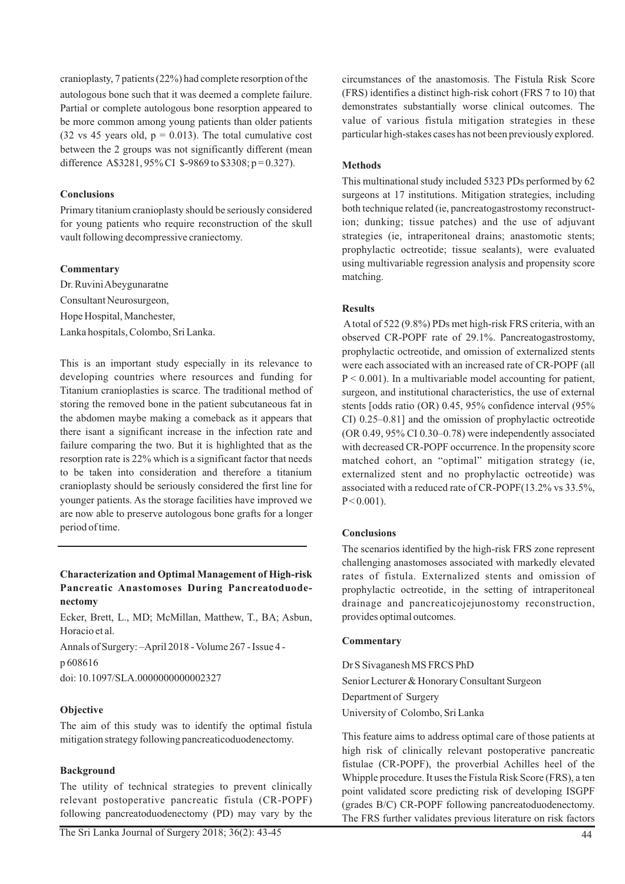cranioplasty, 7 patients (22%) had complete resorption of the autologous bone such that it was deemed a complete failure. Partial or complete autologous bone resorption appeared to be more common among young patients than older patients (32 vs 45 years old,  $p = 0.013$ ). The total cumulative cost between the 2 groups was not significantly different (mean difference A\$3281, 95% CI \$-9869 to \$3308; p = 0.327).

# **Conclusions**

Primary titanium cranioplasty should be seriously considered for young patients who require reconstruction of the skull vault following decompressive craniectomy.

# **Commentary**

Dr. Ruvini Abeygunaratne Consultant Neurosurgeon, Hope Hospital, Manchester, Lanka hospitals, Colombo, Sri Lanka.

This is an important study especially in its relevance to developing countries where resources and funding for Titanium cranioplasties is scarce. The traditional method of storing the removed bone in the patient subcutaneous fat in the abdomen maybe making a comeback as it appears that there isant a significant increase in the infection rate and failure comparing the two. But it is highlighted that as the resorption rate is 22% which is a significant factor that needs to be taken into consideration and therefore a titanium cranioplasty should be seriously considered the first line for younger patients. As the storage facilities have improved we are now able to preserve autologous bone grafts for a longer period of time.

# **Characterization and Optimal Management of High-risk Pancreatic Anastomoses During Pancreatoduodenectomy**

Ecker, Brett, L., MD; McMillan, Matthew, T., BA; Asbun, Horacio et al.

Annals of Surgery: –April 2018 - Volume 267 - Issue 4 p 608616

doi: 10.1097/SLA.0000000000002327

# **Objective**

The aim of this study was to identify the optimal fistula mitigation strategy following pancreaticoduodenectomy.

# **Background**

The utility of technical strategies to prevent clinically relevant postoperative pancreatic fistula (CR-POPF) following pancreatoduodenectomy (PD) may vary by the circumstances of the anastomosis. The Fistula Risk Score (FRS) identifies a distinct high-risk cohort (FRS 7 to 10) that demonstrates substantially worse clinical outcomes. The value of various fistula mitigation strategies in these particular high-stakes cases has not been previously explored.

# **Methods**

This multinational study included 5323 PDs performed by 62 surgeons at 17 institutions. Mitigation strategies, including both technique related (ie, pancreatogastrostomy reconstruction; dunking; tissue patches) and the use of adjuvant strategies (ie, intraperitoneal drains; anastomotic stents; prophylactic octreotide; tissue sealants), were evaluated using multivariable regression analysis and propensity score matching.

# **Results**

Atotal of 522 (9.8%) PDs met high-risk FRS criteria, with an observed CR-POPF rate of 29.1%. Pancreatogastrostomy, prophylactic octreotide, and omission of externalized stents were each associated with an increased rate of CR-POPF (all  $P < 0.001$ ). In a multivariable model accounting for patient, surgeon, and institutional characteristics, the use of external stents [odds ratio (OR) 0.45, 95% confidence interval (95% CI) 0.25–0.81] and the omission of prophylactic octreotide (OR 0.49, 95% CI 0.30–0.78) were independently associated with decreased CR-POPF occurrence. In the propensity score matched cohort, an "optimal" mitigation strategy (ie, externalized stent and no prophylactic octreotide) was associated with a reduced rate of CR-POPF(13.2% vs 33.5%,  $P < 0.001$ ).

# **Conclusions**

The scenarios identified by the high-risk FRS zone represent challenging anastomoses associated with markedly elevated rates of fistula. Externalized stents and omission of prophylactic octreotide, in the setting of intraperitoneal drainage and pancreaticojejunostomy reconstruction, provides optimal outcomes.

## **Commentary**

Dr S Sivaganesh MS FRCS PhD Senior Lecturer & Honorary Consultant Surgeon Department of Surgery University of Colombo, Sri Lanka

This feature aims to address optimal care of those patients at high risk of clinically relevant postoperative pancreatic fistulae (CR-POPF), the proverbial Achilles heel of the Whipple procedure. It uses the Fistula Risk Score (FRS), a ten point validated score predicting risk of developing ISGPF (grades B/C) CR-POPF following pancreatoduodenectomy. The FRS further validates previous literature on risk factors